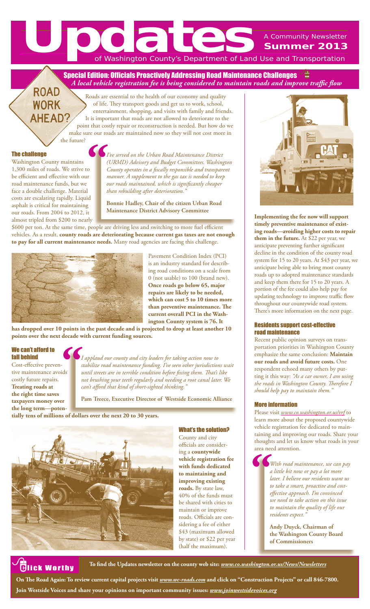# Washington County's Department of Land Use and Transportation **A Community Newsletter Summer 2013**

Special Edition: Officials Proactively Addressing Road Maintenance Challenges *A local vehicle registration fee is being considered to maintain roads and imp[rove t](http://www.co.washington.or.us/vrf)raffic flow*

Roads are essential to the health of our economy and quality of life. They transport goods and get us to work, school, entertainment, shopping, and visits with family and friends. It is important that roads are not allowed to deteriorate to the point that costly repair or reconstruction is needed. But how do we make sure our roads are maintained now so they will not cost more in the future?

#### The challenge

Washington County maintains 1,300 miles of roads. We strive to be efficient and effective with our road maintenance funds, but we face a double challenge. Material costs are escalating rapidly. Liquid asphalt is critical for maintaining our roads. From 2004 to 2012, it almost tripled from \$200 to nearly

**ROAD** 

**WORK** 

**AHEAD?** 

*I've served on the Urban Road Maintenance District (URMD) Advisory and Budget Committees. Washington County operates in a fiscally responsible and transparent manner. A supplement to the gas tax is needed to keep our roads maintained, which is significantly cheaper than rebuilding after deterioration."*

**Bonnie Hadley, Chair of the citizen Urban Road Maintenance District Advisory Committee**

\$600 per ton. At the same time, people are driving less and switching to more fuel efficient vehicles. As a result, **county roads are deteriorating because current gas taxes are not enough to pay for all current maintenance needs.** Many road agencies are facing this challenge.



Pavement Condition Index (PCI) is an industry standard for describing road conditions on a scale from 0 (not usable) to 100 (brand new). **Once roads go below 65, major repairs are likely to be needed, which can cost 5 to 10 times more than preventive maintenance. The current overall PCI in the Washington County system is 76. It** 

**has dropped over 10 points in the past decade and is projected to drop at least another 10 points over the next decade with current funding sources.** 

#### We can't afford to fall behind

Cost-effective preventive maintenance avoids costly future repairs. **Treating roads at the right time saves taxpayers money over the long term—poten-** *I applaud our county and city leaders for taking action now to stabilize road maintenance funding. I've seen other jurisdictions wait until streets are in terrible condition before fixing them. That's like not brushing your teeth regularly and needing a root canal later. We can't afford that kind of short-sighted thinking."* 

**Pam Treece, Executive Director of Westside Economic Alliance**

**tially tens of millions of dollars over the next 20 to 30 years.**



### What's the solution?

County and city officials are considering a **countywide vehicle registration fee with funds dedicated to maintaining and improving existing roads.** By state law, 40% of the funds must be shared with cities to maintain or improve roads. Officials are considering a fee of either \$43 (maximum allowed by state) or \$22 per year (half the maximum).



**Implementing the fee now will support timely preventive maintenance of existing roads—avoiding higher costs to repair them in the future.** At \$22 per year, we anticipate preventing further significant decline in the condition of the county road system for 15 to 20 years. At \$43 per year, we anticipate being able to bring most county roads up to adopted maintenance standards and keep them there for 15 to 20 years. A portion of the fee could also help pay for updating technology to improve traffic flow throughout our countywide road system. There's more information on the next page.

#### Residents support cost-effective road maintenance

Recent public opinion surveys on transportation priorities in Washington County emphasize the same conclusion: **Maintain our roads and avoid future costs.** One respondent echoed many others by putting it this way: *"As a car owner, I am using the roads in Washington County. Therefore I should help pay to maintain them."*

#### More information

Please visit *www.co.washington.or.us/vrf* to learn more about the proposed countywide vehicle registration fee dedicated to maintaining and improving our roads. Share your thoughts and let us know what roads in your area need attention.

*With road maintenance, we can pay a little bit now or pay a lot more later. I believe our residents want us to take a smart, proactive and costeffective approach. I'm convinced we need to take action on this issue to maintain the quality of life our residents expect."* 

> **Andy Duyck, Chairman of the Washington County Board of Commissioners**



**To find the Updates newsletter on the county web site:** *www.co.washington.or.us/News/Newsletters*

**On The Road Again: To review current capital projects visit** *www.wc-roads.com* **and click on "Construction Projects" or call 846-7800. Join Westside Voices and share your opinions on important community issues:** *www.joinwestsidevoices.org*